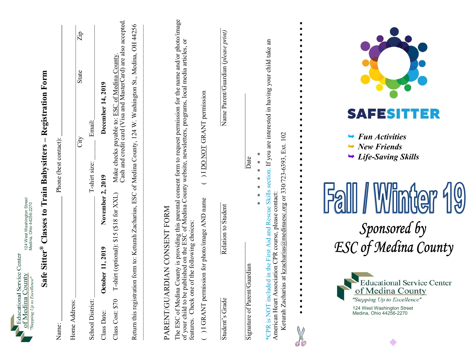| 124 West Washington Street<br>Medina, Ohio 44256-2270<br>Center<br>vice<br>of Medina County<br>"Stepping Up to Excellence"<br>Educational Ser | Form<br>Registration<br>Phone (best contact):<br><b>Classes to Train Babysitters</b><br>Sitter $^{\circ}$<br>afe<br>$\sigma$<br>Name: | Home Address: | Zip<br>State<br>City | Email:<br>T-shirt size:<br>School District: | December 14, 2019<br>November 2, 2019<br>2019<br>$\mathbf{1}$<br>October<br>Class Date: | card (Visa and MasterCard) are also accepted<br>County<br>of Medina<br>Make checks payable to: ESC<br>Cash and credit<br>$(318$ for $XXL)$<br>\$15<br>T-shirt (optional):<br>Class Cost: \$70 | 44256<br>5H<br>Medina,<br>124 W. Washington St.,<br>of Medina County,<br>Zacharias, ESC<br>n form to: Keturah<br>Return this registratio | CONSENT FORM<br><b>NAN</b><br><b>PARENT/GUARI</b> | consent form to request permission for the name and/or photo/image<br>of Medina County website, newsletters, programs, local media articles, or<br>is providing this parental<br>I on the ESC of Medina C<br>features. Check one of the following choices:<br>blished<br>County<br>The ESC of Medina (<br>of your child to be pu | ( ) I DO NOT GRANT permission<br>sion for photo/image AND name<br>1 GRANT permis | Name Parent/Guardian (please print)<br>Relation to Student<br>Student's Grade | Date<br>uardian<br>Signature of Parent/G | child take an<br>section. If you are interested in having your<br>Keturah Zacharias at kzacharias@medinaesc.org or 330/723-6393, Ext. 102<br>∗<br>$\ast$<br><b>Skills</b><br>ciation CPR course, please contact:<br>⊀<br>and Rescue<br>First Aid<br>*CPR is NOT included in the<br>American Heart Asso |                | SAEESH<br>Ξ<br><b>Fun Activities</b><br>$\rightarrow$<br>$\rightarrow$ New Friends<br>$\rightarrow$ Life-Saving Skills<br>$\frac{1}{2}$<br>Sponsored by<br>ESC of Medina County<br><b>Educational Service Center</b><br>of Medina County<br>"Stepping Up to Excellence"<br>124 West Washington Street<br>Medina, Ohio 44256-2270 |
|-----------------------------------------------------------------------------------------------------------------------------------------------|---------------------------------------------------------------------------------------------------------------------------------------|---------------|----------------------|---------------------------------------------|-----------------------------------------------------------------------------------------|-----------------------------------------------------------------------------------------------------------------------------------------------------------------------------------------------|------------------------------------------------------------------------------------------------------------------------------------------|---------------------------------------------------|----------------------------------------------------------------------------------------------------------------------------------------------------------------------------------------------------------------------------------------------------------------------------------------------------------------------------------|----------------------------------------------------------------------------------|-------------------------------------------------------------------------------|------------------------------------------|--------------------------------------------------------------------------------------------------------------------------------------------------------------------------------------------------------------------------------------------------------------------------------------------------------|----------------|----------------------------------------------------------------------------------------------------------------------------------------------------------------------------------------------------------------------------------------------------------------------------------------------------------------------------------|
|                                                                                                                                               |                                                                                                                                       |               |                      |                                             |                                                                                         |                                                                                                                                                                                               |                                                                                                                                          |                                                   |                                                                                                                                                                                                                                                                                                                                  |                                                                                  |                                                                               |                                          |                                                                                                                                                                                                                                                                                                        | $\circledcirc$ | $\bullet$                                                                                                                                                                                                                                                                                                                        |